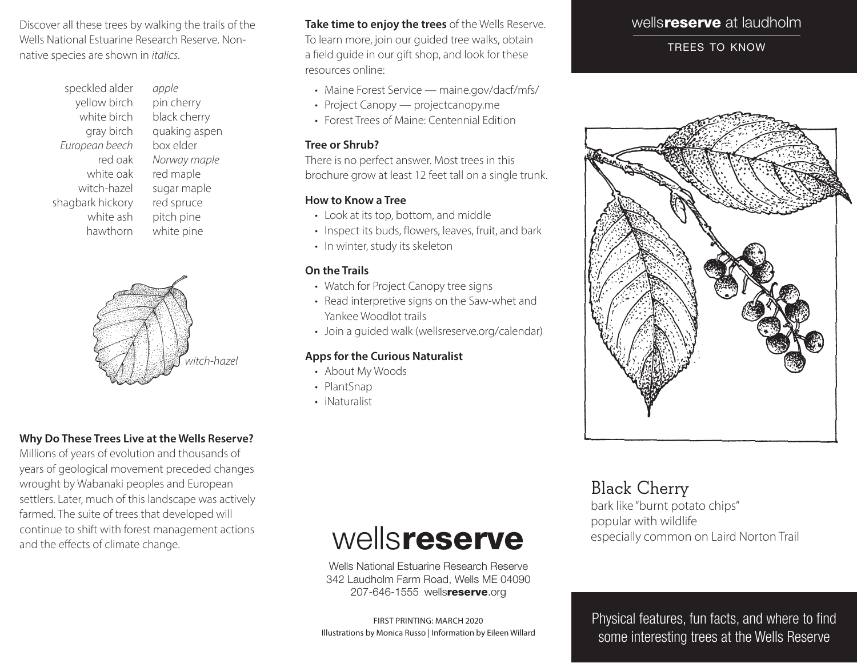Discover all these trees by walking the trails of the Wells National Estuarine Research Reserve. Nonnative species are shown in *italics*.

> speckled alder yellow birch white birch gray birch *European beech* red oak white oak witch-hazel shagbark hickory white ash hawthorn

*apple* pin cherry black cherry quaking aspen box elder *Norway maple* red maple sugar maple red spruce pitch pine white pine



### **Why Do These Trees Live at the Wells Reserve?**

Millions of years of evolution and thousands of years of geological movement preceded changes wrought by Wabanaki peoples and European settlers. Later, much of this landscape was actively farmed. The suite of trees that developed will continue to shift with forest management actions and the effects of climate change.

**Take time to enjoy the trees** of the Wells Reserve. To learn more, join our guided tree walks, obtain a field guide in our gift shop, and look for these resources online:

- Maine Forest Service maine.gov/dacf/mfs/
- Project Canopy projectcanopy.me
- Forest Trees of Maine: Centennial Edition

#### **Tree or Shrub?**

There is no perfect answer. Most trees in this brochure grow at least 12 feet tall on a single trunk.

### **How to Know a Tree**

- • Look at its top, bottom, and middle
- Inspect its buds, flowers, leaves, fruit, and bark
- In winter, study its skeleton

### **On the Trails**

- Watch for Project Canopy tree signs
- Read interpretive signs on the Saw-whet and Yankee Woodlot trails
- Join a quided walk (wellsreserve.org/calendar)

#### **Apps for the Curious Naturalist**

- About My Woods
- PlantSnap
- iNaturalist

### wells**reserve** at laudholm

trees to know



### Black Cherry

bark like "burnt potato chips" popular with wildlife especially common on Laird Norton Trail

# wellsreserve

Wells National Estuarine Research Reserve 342 Laudholm Farm Road, Wells ME 04090 207-646-1555 wellsreserve.org

FIRST PRINTING: MARCH 2020 Illustrations by Monica Russo | Information by Eileen Willard Physical features, fun facts, and where to find some interesting trees at the Wells Reserve